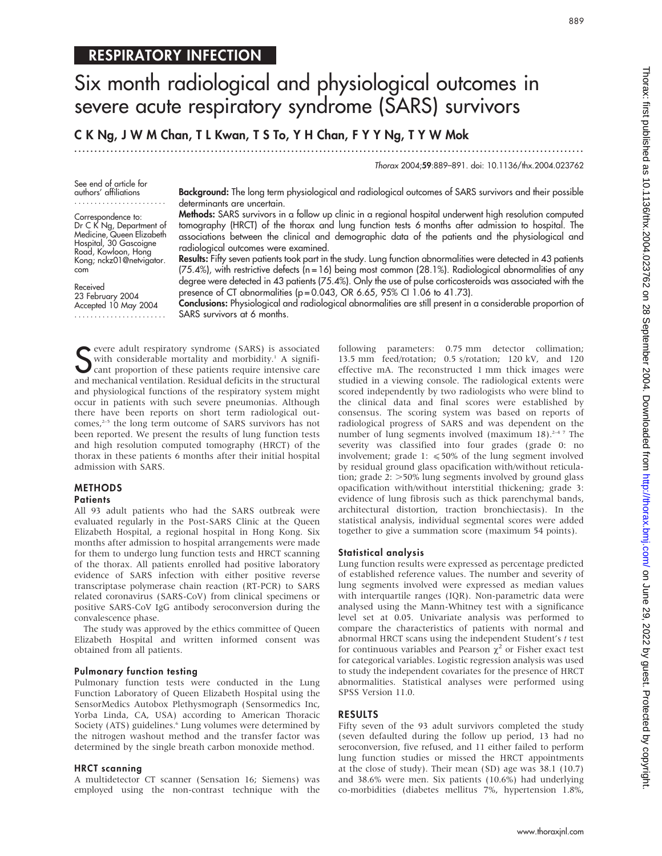# RESPIRATORY INFECTION

# Six month radiological and physiological outcomes in severe acute respiratory syndrome (SARS) survivors

C K Ng, J W M Chan, T L Kwan, T S To, Y H Chan, F Y Y Ng, T Y W Mok

...............................................................................................................................

Thorax 2004;59:889–891. doi: 10.1136/thx.2004.023762

889

See end of article for authors' affiliations .......................

Correspondence to: Dr C K Ng, Department of Medicine, Queen Elizabeth Hospital, 30 Gascoigne Road, Kowloon, Hong Kong; nckz01@netvigator. com

Received 23 February 2004 Accepted 10 May 2004 .......................

Background: The long term physiological and radiological outcomes of SARS survivors and their possible determinants are uncertain.

Methods: SARS survivors in a follow up clinic in a regional hospital underwent high resolution computed tomography (HRCT) of the thorax and lung function tests 6 months after admission to hospital. The associations between the clinical and demographic data of the patients and the physiological and radiological outcomes were examined.

Results: Fifty seven patients took part in the study. Lung function abnormalities were detected in 43 patients (75.4%), with restrictive defects (n = 16) being most common (28.1%). Radiological abnormalities of any degree were detected in 43 patients (75.4%). Only the use of pulse corticosteroids was associated with the presence of CT abnormalities (p = 0.043, OR 6.65, 95% CI 1.06 to 41.73).

Conclusions: Physiological and radiological abnormalities are still present in a considerable proportion of SARS survivors at 6 months.

Severe adult respiratory syndrome (SARS) is associated<br>
with considerable mortality and morbidity.<sup>1</sup> A signifi-<br>
cant proportion of these patients require intensive care<br>
and mechanical ventilation Residual deficits in th evere adult respiratory syndrome (SARS) is associated with considerable mortality and morbidity.<sup>1</sup> A signifiand mechanical ventilation. Residual deficits in the structural and physiological functions of the respiratory system might occur in patients with such severe pneumonias. Although there have been reports on short term radiological outcomes, $2-5$  the long term outcome of SARS survivors has not been reported. We present the results of lung function tests and high resolution computed tomography (HRCT) of the thorax in these patients 6 months after their initial hospital admission with SARS.

# METHODS

#### **Patients**

All 93 adult patients who had the SARS outbreak were evaluated regularly in the Post-SARS Clinic at the Queen Elizabeth Hospital, a regional hospital in Hong Kong. Six months after admission to hospital arrangements were made for them to undergo lung function tests and HRCT scanning of the thorax. All patients enrolled had positive laboratory evidence of SARS infection with either positive reverse transcriptase polymerase chain reaction (RT-PCR) to SARS related coronavirus (SARS-CoV) from clinical specimens or positive SARS-CoV IgG antibody seroconversion during the convalescence phase.

The study was approved by the ethics committee of Queen Elizabeth Hospital and written informed consent was obtained from all patients.

#### Pulmonary function testing

Pulmonary function tests were conducted in the Lung Function Laboratory of Queen Elizabeth Hospital using the SensorMedics Autobox Plethysmograph (Sensormedics Inc, Yorba Linda, CA, USA) according to American Thoracic Society (ATS) guidelines.<sup>6</sup> Lung volumes were determined by the nitrogen washout method and the transfer factor was determined by the single breath carbon monoxide method.

## HRCT scanning

A multidetector CT scanner (Sensation 16; Siemens) was employed using the non-contrast technique with the following parameters: 0.75 mm detector collimation; 13.5 mm feed/rotation; 0.5 s/rotation; 120 kV, and 120 effective mA. The reconstructed 1 mm thick images were studied in a viewing console. The radiological extents were scored independently by two radiologists who were blind to the clinical data and final scores were established by consensus. The scoring system was based on reports of radiological progress of SARS and was dependent on the number of lung segments involved (maximum 18).<sup>2-4 7</sup> The severity was classified into four grades (grade 0: no involvement; grade 1:  $\leq 50\%$  of the lung segment involved by residual ground glass opacification with/without reticulation; grade  $2:$  >50% lung segments involved by ground glass opacification with/without interstitial thickening; grade 3: evidence of lung fibrosis such as thick parenchymal bands, architectural distortion, traction bronchiectasis). In the statistical analysis, individual segmental scores were added together to give a summation score (maximum 54 points).

#### Statistical analysis

Lung function results were expressed as percentage predicted of established reference values. The number and severity of lung segments involved were expressed as median values with interquartile ranges (IQR). Non-parametric data were analysed using the Mann-Whitney test with a significance level set at 0.05. Univariate analysis was performed to compare the characteristics of patients with normal and abnormal HRCT scans using the independent Student's t test for continuous variables and Pearson  $\chi^2$  or Fisher exact test for categorical variables. Logistic regression analysis was used to study the independent covariates for the presence of HRCT abnormalities. Statistical analyses were performed using SPSS Version 11.0.

#### RESULTS

Fifty seven of the 93 adult survivors completed the study (seven defaulted during the follow up period, 13 had no seroconversion, five refused, and 11 either failed to perform lung function studies or missed the HRCT appointments at the close of study). Their mean (SD) age was 38.1 (10.7) and 38.6% were men. Six patients (10.6%) had underlying co-morbidities (diabetes mellitus 7%, hypertension 1.8%,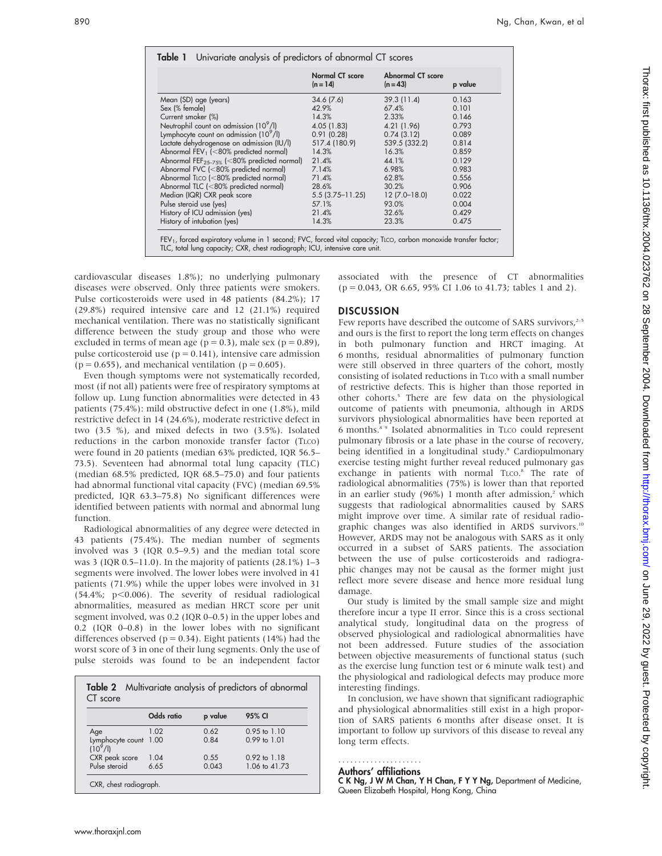|                                                        | Normal CT score    | <b>Abnormal CT score</b> |         |  |
|--------------------------------------------------------|--------------------|--------------------------|---------|--|
|                                                        | $(n = 14)$         | $(n = 43)$               | p value |  |
| Mean (SD) age (years)                                  | 34.6 (7.6)         | 39.3(11.4)               | 0.163   |  |
| Sex (% female)                                         | 42.9%              | 67.4%                    | 0.101   |  |
| Current smoker (%)                                     | 14.3%              | 2.33%                    | 0.146   |  |
| Neutrophil count on admission (10 <sup>9</sup> /l)     | 4.05(1.83)         | 4.21 (1.96)              | 0.793   |  |
| Lymphocyte count on admission (10 <sup>9</sup> /l)     | 0.91(0.28)         | 0.74(3.12)               | 0.089   |  |
| Lactate dehydrogenase on admission (IU/I)              | 517.4 (180.9)      | 539.5 (332.2)            | 0.814   |  |
| Abnormal $FEV_1$ (<80% predicted normal)               | 14.3%              | 16.3%                    | 0.859   |  |
| Abnormal FEF <sub>25-75%</sub> (<80% predicted normal) | 21.4%              | 44.1%                    | 0.129   |  |
| Abnormal FVC (<80% predicted normal)                   | 7.14%              | 6.98%                    | 0.983   |  |
| Abnormal TLCO (<80% predicted normal)                  | 71.4%              | 62.8%                    | 0.556   |  |
| Abnormal TLC (<80% predicted normal)                   | 28.6%              | 30.2%                    | 0.906   |  |
| Median (IQR) CXR peak score                            | $5.5$ (3.75-11.25) | $12(7.0 - 18.0)$         | 0.022   |  |
| Pulse steroid use (yes)                                | 57.1%              | 93.0%                    | 0.004   |  |
| History of ICU admission (yes)                         | 21.4%              | 32.6%                    | 0.429   |  |
| History of intubation (yes)                            | 14.3%              | 23.3%                    | 0.475   |  |

cardiovascular diseases 1.8%); no underlying pulmonary diseases were observed. Only three patients were smokers. Pulse corticosteroids were used in 48 patients (84.2%); 17 (29.8%) required intensive care and 12 (21.1%) required mechanical ventilation. There was no statistically significant difference between the study group and those who were excluded in terms of mean age ( $p = 0.3$ ), male sex ( $p = 0.89$ ), pulse corticosteroid use  $(p = 0.141)$ , intensive care admission  $(p = 0.655)$ , and mechanical ventilation  $(p = 0.605)$ .

Even though symptoms were not systematically recorded, most (if not all) patients were free of respiratory symptoms at follow up. Lung function abnormalities were detected in 43 patients (75.4%): mild obstructive defect in one (1.8%), mild restrictive defect in 14 (24.6%), moderate restrictive defect in two (3.5 %), and mixed defects in two (3.5%). Isolated reductions in the carbon monoxide transfer factor (TLCO) were found in 20 patients (median 63% predicted, IQR 56.5– 73.5). Seventeen had abnormal total lung capacity (TLC) (median 68.5% predicted, IQR 68.5–75.0) and four patients had abnormal functional vital capacity (FVC) (median 69.5% predicted, IQR 63.3–75.8) No significant differences were identified between patients with normal and abnormal lung function.

Radiological abnormalities of any degree were detected in 43 patients (75.4%). The median number of segments involved was 3 (IQR 0.5–9.5) and the median total score was 3 (IQR  $0.5-11.0$ ). In the majority of patients (28.1%) 1-3 segments were involved. The lower lobes were involved in 41 patients (71.9%) while the upper lobes were involved in 31  $(54.4\%; p<0.006)$ . The severity of residual radiological abnormalities, measured as median HRCT score per unit segment involved, was 0.2 (IQR 0–0.5) in the upper lobes and 0.2 (IQR 0–0.8) in the lower lobes with no significant differences observed ( $p = 0.34$ ). Eight patients (14%) had the worst score of 3 in one of their lung segments. Only the use of pulse steroids was found to be an independent factor

|          | Table 2 Multivariate analysis of predictors of abnormal |  |  |
|----------|---------------------------------------------------------|--|--|
| CT score |                                                         |  |  |

|                                     | Odds ratio | p value | 95% CI                  |
|-------------------------------------|------------|---------|-------------------------|
| Age                                 | 1.02       | 0.62    | $0.95$ to $1.10$        |
| Lymphocyte count 1.00<br>$(10^9/1)$ |            | 0.84    | $0.99$ to $1.01$        |
| CXR peak score                      | 1.04       | 0.55    | $0.92 \text{ to } 1.18$ |
| Pulse steroid                       | 6.65       | 0.043   | 1.06 to 41.73           |

associated with the presence of CT abnormalities (p = 0.043, OR 6.65, 95% CI 1.06 to 41.73; tables 1 and 2).

## **DISCUSSION**

Few reports have described the outcome of SARS survivors,<sup>2-5</sup> and ours is the first to report the long term effects on changes in both pulmonary function and HRCT imaging. At 6 months, residual abnormalities of pulmonary function were still observed in three quarters of the cohort, mostly consisting of isolated reductions in TLCO with a small number of restrictive defects. This is higher than those reported in other cohorts.<sup>5</sup> There are few data on the physiological outcome of patients with pneumonia, although in ARDS survivors physiological abnormalities have been reported at 6 months.8 9 Isolated abnormalities in TLCO could represent pulmonary fibrosis or a late phase in the course of recovery, being identified in a longitudinal study.<sup>9</sup> Cardiopulmonary exercise testing might further reveal reduced pulmonary gas exchange in patients with normal TLCO.<sup>8</sup> The rate of radiological abnormalities (75%) is lower than that reported in an earlier study  $(96%)$  1 month after admission,<sup>2</sup> which suggests that radiological abnormalities caused by SARS might improve over time. A similar rate of residual radiographic changes was also identified in ARDS survivors.<sup>10</sup> However, ARDS may not be analogous with SARS as it only occurred in a subset of SARS patients. The association between the use of pulse corticosteroids and radiographic changes may not be causal as the former might just reflect more severe disease and hence more residual lung damage.

Our study is limited by the small sample size and might therefore incur a type II error. Since this is a cross sectional analytical study, longitudinal data on the progress of observed physiological and radiological abnormalities have not been addressed. Future studies of the association between objective measurements of functional status (such as the exercise lung function test or 6 minute walk test) and the physiological and radiological defects may produce more interesting findings.

In conclusion, we have shown that significant radiographic and physiological abnormalities still exist in a high proportion of SARS patients 6 months after disease onset. It is important to follow up survivors of this disease to reveal any long term effects.

#### Authors' affiliations .....................

C K Ng, J W M Chan, Y H Chan, F Y Y Ng, Department of Medicine, Queen Elizabeth Hospital, Hong Kong, China